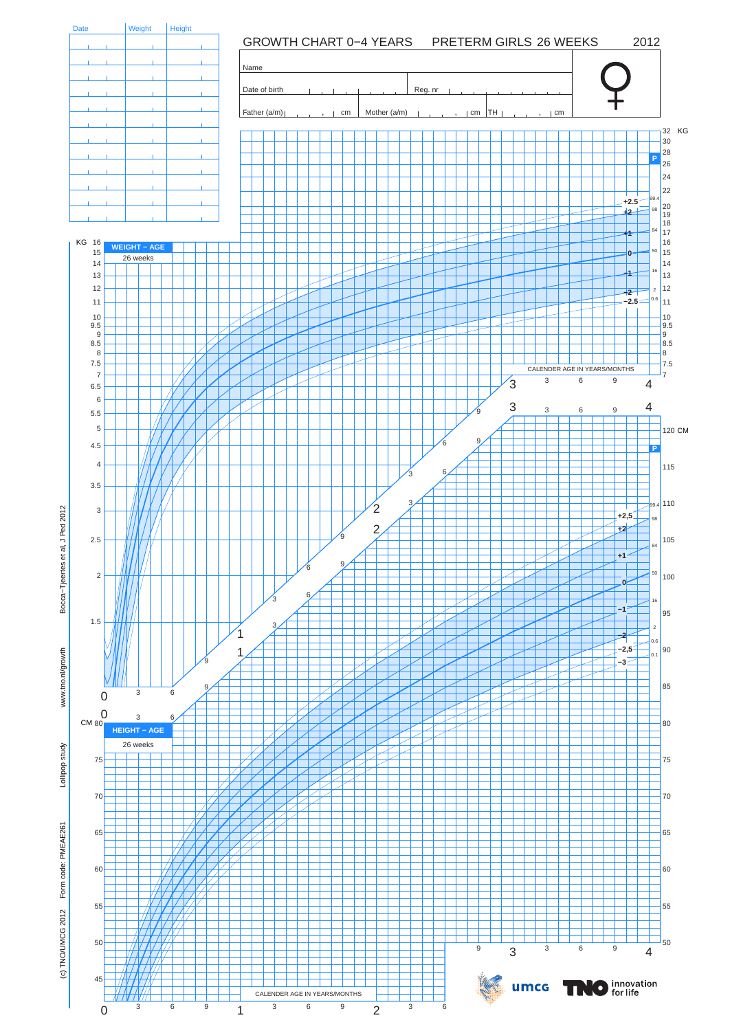